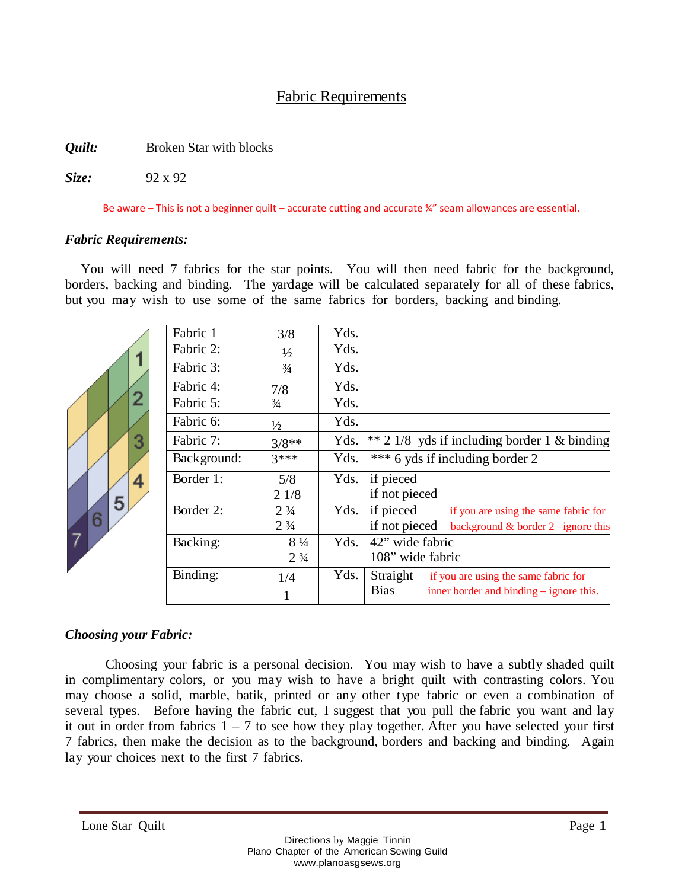### Fabric Requirements

*Quilt:* Broken Star with blocks

*Size:* 92 x 92

Be aware – This is not a beginner quilt – accurate cutting and accurate ¼" seam allowances are essential.

#### *Fabric Requirements:*

You will need 7 fabrics for the star points. You will then need fabric for the background, borders, backing and binding. The yardage will be calculated separately for all of these fabrics, but you may wish to use some of the same fabrics for borders, backing and binding.



| Fabric 1    | 3/8                           | Yds. |                                                        |  |
|-------------|-------------------------------|------|--------------------------------------------------------|--|
| Fabric 2:   | $\frac{1}{2}$                 | Yds. |                                                        |  |
| Fabric 3:   | $\frac{3}{4}$                 | Yds. |                                                        |  |
| Fabric 4:   | 7/8                           | Yds. |                                                        |  |
| Fabric 5:   | $\frac{3}{4}$                 | Yds. |                                                        |  |
| Fabric 6:   | $\frac{1}{2}$                 | Yds. |                                                        |  |
| Fabric 7:   | $3/8**$                       | Yds. | ** 2 1/8 yds if including border 1 & binding           |  |
| Background: | $3***$                        | Yds. | *** 6 yds if including border 2                        |  |
| Border 1:   | 5/8                           | Yds. | if pieced                                              |  |
|             | 21/8                          |      | if not pieced                                          |  |
| Border 2:   | 2 <sup>3</sup> / <sub>4</sub> | Yds. | if pieced<br>if you are using the same fabric for      |  |
|             | 2 <sup>3</sup> / <sub>4</sub> |      | if not pieced<br>background $& border 2 -ignore this$  |  |
| Backing:    | $8\frac{1}{4}$                | Yds. | 42" wide fabric                                        |  |
|             | $2\frac{3}{4}$                |      | 108" wide fabric                                       |  |
| Binding:    | 1/4                           | Yds. | Straight<br>if you are using the same fabric for       |  |
|             | 1                             |      | <b>Bias</b><br>inner border and binding – ignore this. |  |

#### *Choosing your Fabric:*

Choosing your fabric is a personal decision. You may wish to have a subtly shaded quilt in complimentary colors, or you may wish to have a bright quilt with contrasting colors. You may choose a solid, marble, batik, printed or any other type fabric or even a combination of several types. Before having the fabric cut, I suggest that you pull the fabric you want and lay it out in order from fabrics  $1 - 7$  to see how they play together. After you have selected your first 7 fabrics, then make the decision as to the background, borders and backing and binding. Again lay your choices next to the first 7 fabrics.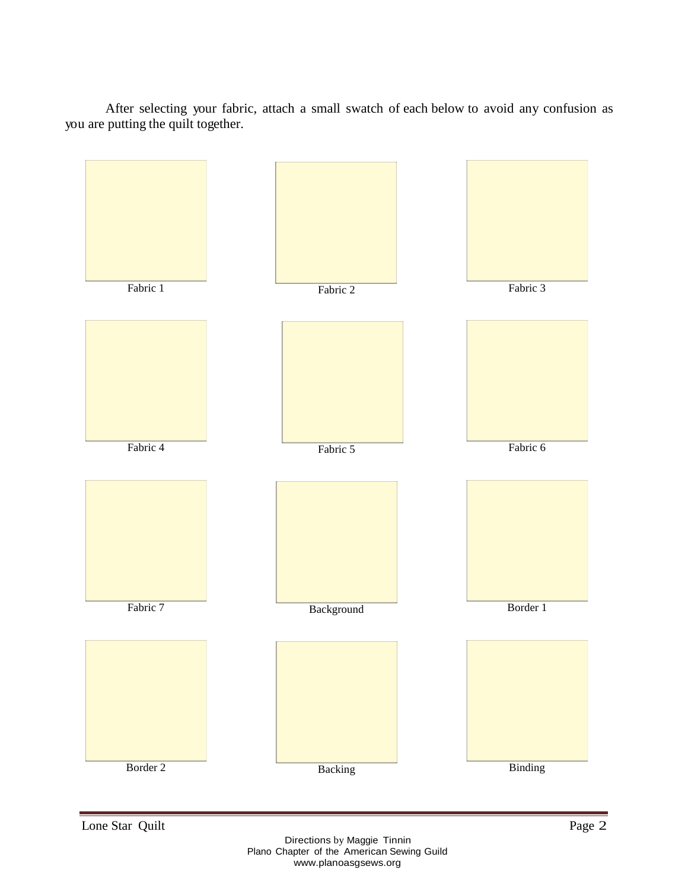After selecting your fabric, attach a small swatch of each below to avoid any confusion as you are putting the quilt together.

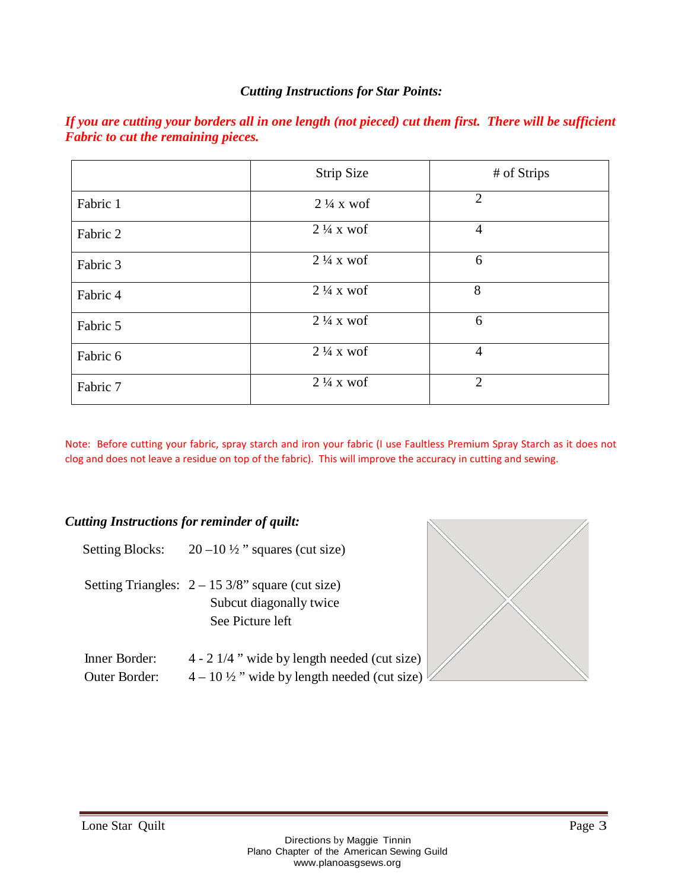#### *Cutting Instructions for Star Points:*

|          | <b>Strip Size</b>    | # of Strips    |
|----------|----------------------|----------------|
| Fabric 1 | $2\frac{1}{4}$ x wof | $\overline{2}$ |
| Fabric 2 | $2\frac{1}{4}$ x wof | $\overline{4}$ |
| Fabric 3 | $2\frac{1}{4}$ x wof | 6              |
| Fabric 4 | $2\frac{1}{4}$ x wof | 8              |
| Fabric 5 | $2\frac{1}{4}$ x wof | 6              |
| Fabric 6 | $2\frac{1}{4}$ x wof | $\overline{4}$ |
| Fabric 7 | $2\frac{1}{4}$ x wof | $\overline{2}$ |

*If you are cutting your borders all in one length (not pieced) cut them first. There will be sufficient Fabric to cut the remaining pieces.*

Note: Before cutting your fabric, spray starch and iron your fabric (I use Faultless Premium Spray Starch as it does not clog and does not leave a residue on top of the fabric). This will improve the accuracy in cutting and sewing.

#### *Cutting Instructions for reminder of quilt:*

Setting Blocks:  $20 - 10 \frac{1}{2}$  squares (cut size) Setting Triangles:  $2 - 153/8$ " square (cut size) Subcut diagonally twice See Picture left Inner Border: 4 - 2 1/4 " wide by length needed (cut size) Outer Border:  $4 - 10\frac{1}{2}$  " wide by length needed (cut size)

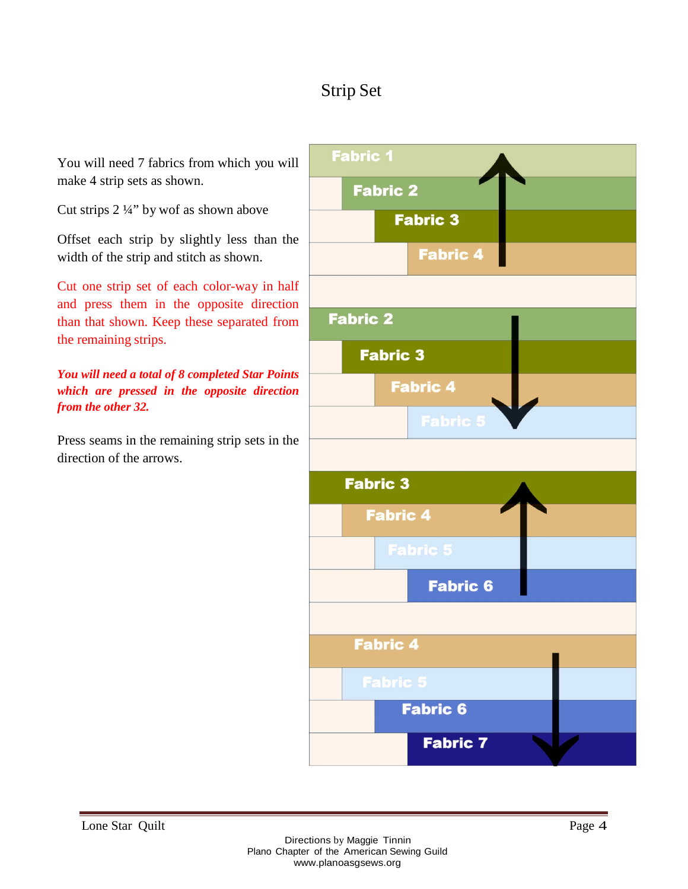# Strip Set

You will need 7 fabrics from which you will make 4 strip sets as shown.

Cut strips 2 ¼" by wof as shown above

Offset each strip by slightly less than the width of the strip and stitch as shown.

Cut one strip set of each color-way in half and press them in the opposite direction than that shown. Keep these separated from the remaining strips.

*You will need a total of 8 completed Star Points which are pressed in the opposite direction from the other 32.*

Press seams in the remaining strip sets in the direction of the arrows.

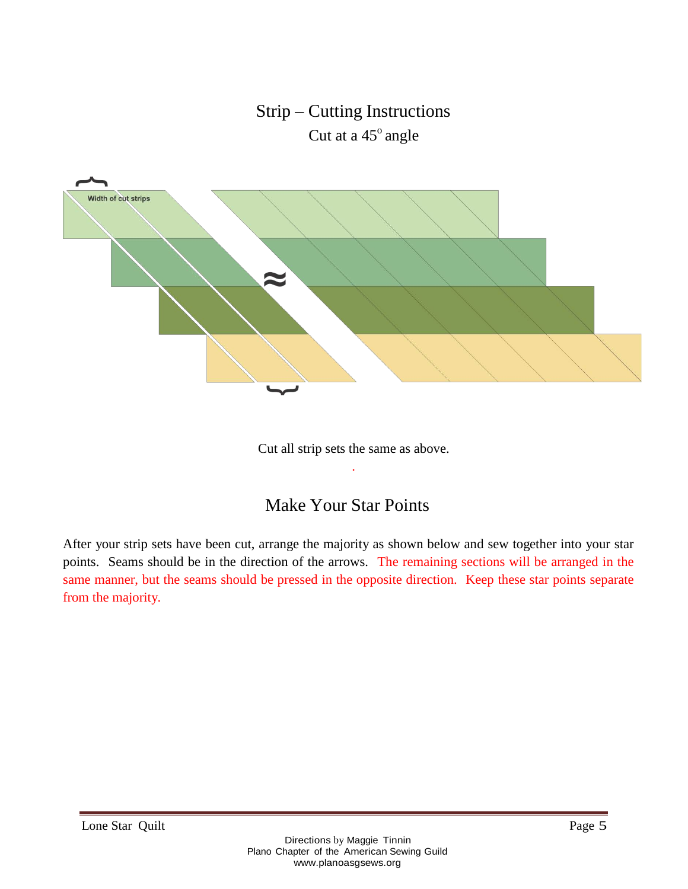# Strip – Cutting Instructions Cut at a 45<sup>°</sup> angle

![](_page_4_Picture_1.jpeg)

Cut all strip sets the same as above. .

# Make Your Star Points

After your strip sets have been cut, arrange the majority as shown below and sew together into your star points. Seams should be in the direction of the arrows. The remaining sections will be arranged in the same manner, but the seams should be pressed in the opposite direction. Keep these star points separate from the majority.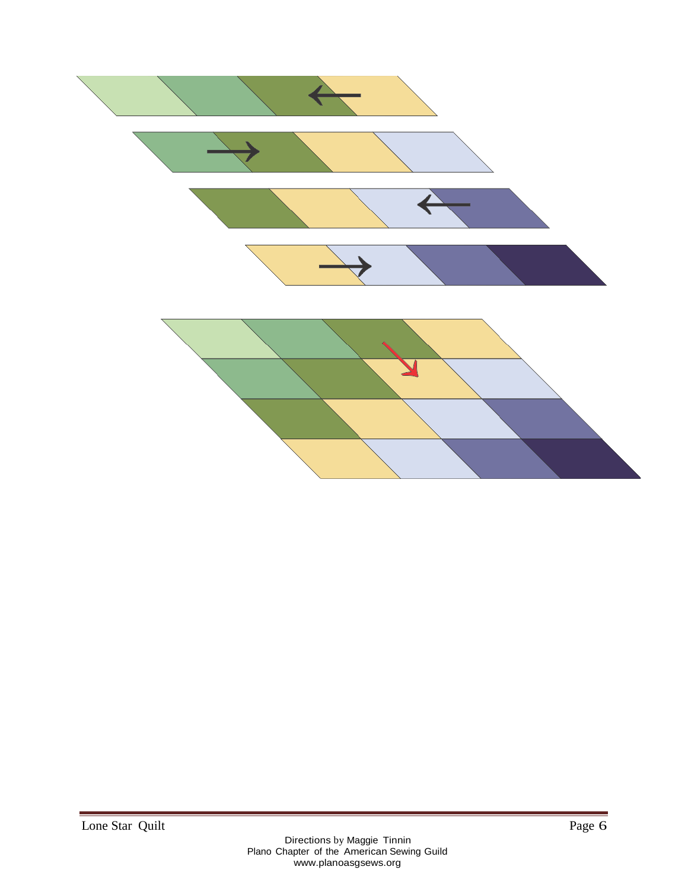![](_page_5_Picture_0.jpeg)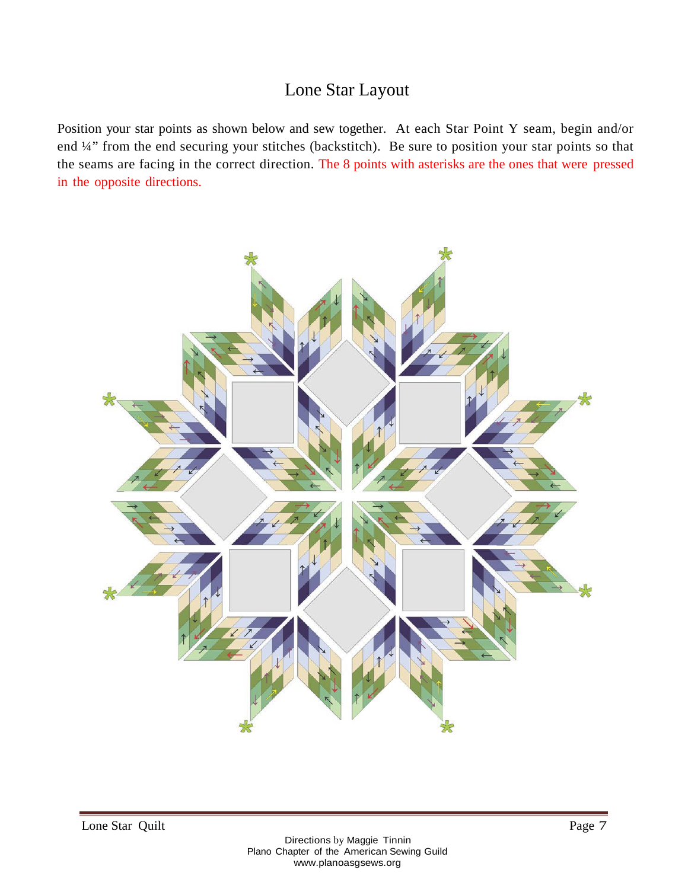# Lone Star Layout

Position your star points as shown below and sew together. At each Star Point Y seam, begin and/or end ¼" from the end securing your stitches (backstitch). Be sure to position your star points so that the seams are facing in the correct direction. The 8 points with asterisks are the ones that were pressed in the opposite directions.

![](_page_6_Picture_2.jpeg)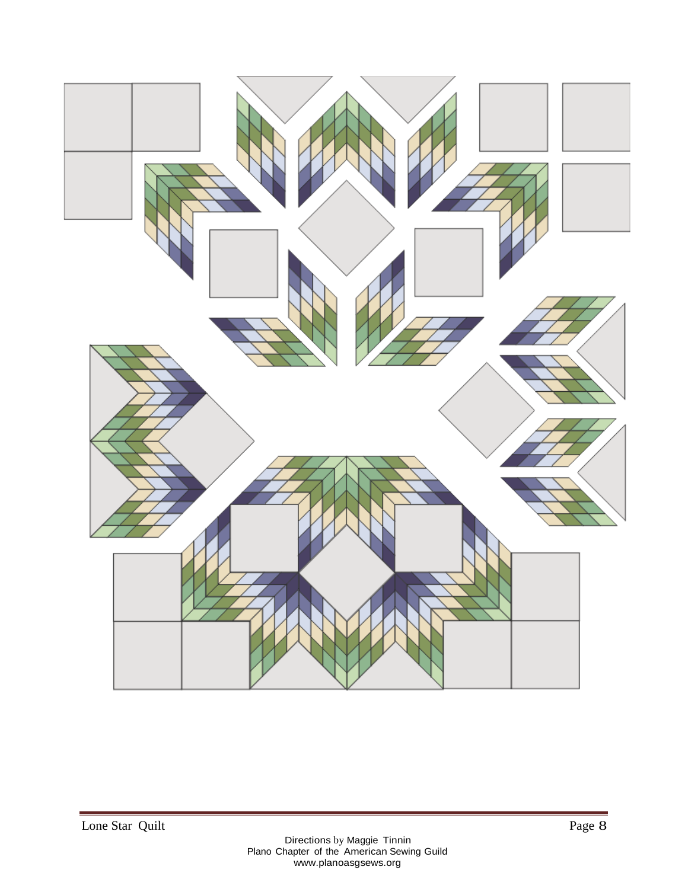![](_page_7_Picture_0.jpeg)